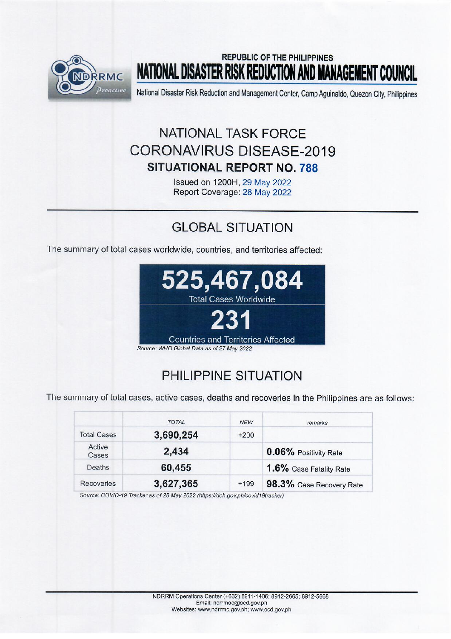

## **REPUBLIC OF THE PHILIPPINES NATIONAL DISASTER RISK REDUCTION AND MANAGEMENT COUNCIL**

National Disaster Risk Reduction and Management Center, Camp Aguinaldo, Quezon City, Philippines

# NATIONAL TASK FORCE **CORONAVIRUS DISEASE-2019 SITUATIONAL REPORT NO. 788**

Issued on 1200H, 29 May 2022 Report Coverage: 28 May 2022

## **GLOBAL SITUATION**

The summary of total cases worldwide, countries, and territories affected:



## PHILIPPINE SITUATION

The summary of total cases, active cases, deaths and recoveries in the Philippines are as follows:

|                    | <b>TOTAL</b> | <b>NEW</b> | remarks                  |
|--------------------|--------------|------------|--------------------------|
| <b>Total Cases</b> | 3,690,254    | $+200$     |                          |
| Active<br>Cases    | 2,434        |            | 0.06% Positivity Rate    |
| Deaths             | 60,455       |            | 1.6% Case Fatality Rate  |
| <b>Recoveries</b>  | 3,627,365    | $+199$     | 98.3% Case Recovery Rate |

Source: COVID-19 Tracker as of 28 May 2022 (https://doh.gov.ph/covid19tracker)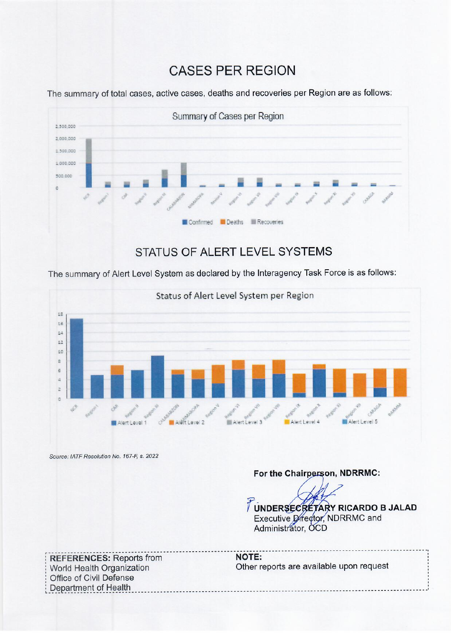## **CASES PER REGION**

Summary of Cases per Region 2.300.000 2.000.000 1,500,000 1.000.000 500,000 Confirmed **Deaths Executeries** 

The summary of total cases, active cases, deaths and recoveries per Region are as follows:

### **STATUS OF ALERT LEVEL SYSTEMS**

The summary of Alert Level System as declared by the Interagency Task Force is as follows:



Source: IATF Resolution No. 167-F, s. 2022

### For the Chairperson, NDRRMC:

TUNDERSECRETARY RICARDO B JALAD Executive Director, NDRRMC and Administrator, OCD

**REFERENCES: Reports from** World Health Organization Office of Civil Defense Department of Health

**NOTE:** Other reports are available upon request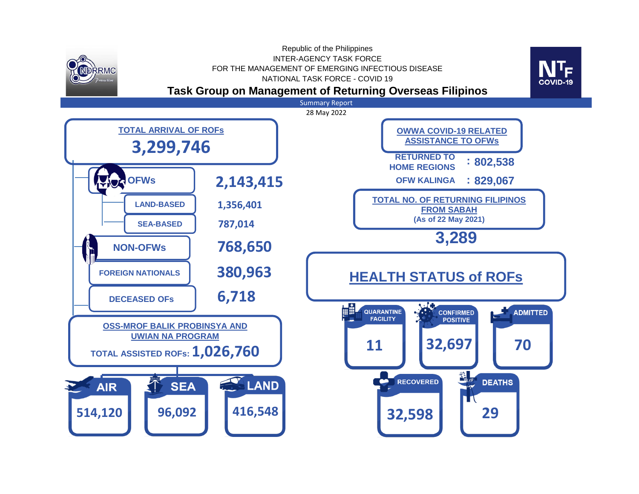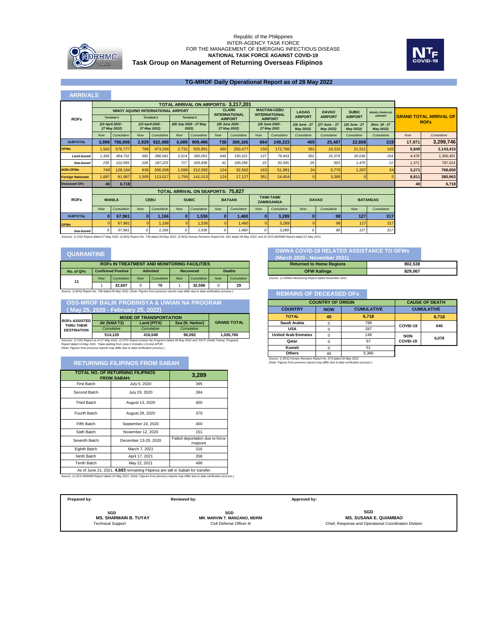

### **Task Group on Management of Returning Overseas Filipinos** Republic of the Philippines<br>INTER-AGENCY TASK FORCE<br>FOR THE MANAGEMENT OF EMERGING INFECTIOUS DISEASE **NATIONAL TASK FORCE AGAINST COVID-19**



#### **TG-MROF Daily Operational Report as of 28 May 2022**

| <b>ARRIVALS</b>          |                                                                                                                                                                                      |                                  |                                                                                                                          |                                    |            |                                          |              |                                             |            |                                            |                            |                            |                            |                             |            |                               |
|--------------------------|--------------------------------------------------------------------------------------------------------------------------------------------------------------------------------------|----------------------------------|--------------------------------------------------------------------------------------------------------------------------|------------------------------------|------------|------------------------------------------|--------------|---------------------------------------------|------------|--------------------------------------------|----------------------------|----------------------------|----------------------------|-----------------------------|------------|-------------------------------|
|                          |                                                                                                                                                                                      |                                  |                                                                                                                          |                                    |            |                                          |              | <b>TOTAL ARRIVAL ON AIRPORTS: 3.217.201</b> |            |                                            |                            |                            |                            |                             |            |                               |
|                          |                                                                                                                                                                                      |                                  |                                                                                                                          | NINOY AQUINO INTERNATIONAL AIRPORT |            |                                          |              | <b>CLARK</b><br><b>INTERNATIONAL</b>        |            | <b>MACTAN-CEBU</b><br><b>INTERNATIONAL</b> | <b>LAOAG</b>               | <b>DAVAO</b>               | <b>SUBIC</b>               | <b>BOHOL-PANGLAO</b>        |            |                               |
| <b>ROFs</b>              |                                                                                                                                                                                      | <b>Terminal 1</b>                |                                                                                                                          | <b>Terminal 2</b>                  |            | <b>Terminal 3</b>                        |              | <b>AIRPORT</b>                              |            | <b>AIRPORT</b>                             | <b>AIRPORT</b>             | <b>AIRPORT</b>             | <b>AIRPORT</b>             | <b>AIRPORT</b>              |            | <b>GRAND TOTAL ARRIVAL OF</b> |
|                          |                                                                                                                                                                                      | (23 April 2020 -<br>27 May 20221 |                                                                                                                          | (23 April 2020 -<br>27 May 2022)   |            | (08 July 2020 - 27 May<br>2022)          |              | (05 June 2020 -<br>27 May 2022)             |            | (28 June 2020 -<br>27 May 2022             | (18 June - 27<br>May 2022) | (27 June - 27<br>May 2022) | (18 June - 27<br>May 2022) | (Nov. 18 - 27)<br>May 2022) |            | <b>ROFs</b>                   |
|                          | <b>Now</b>                                                                                                                                                                           | Cumulative                       | <b>Now</b>                                                                                                               | Cumulative                         | <b>Now</b> | Cumulative                               | <b>Now</b>   | Cumulative                                  | <b>Now</b> | Cumulative                                 | Cumulative                 | Cumulative                 | Cumulative                 | Cumulative                  | <b>Now</b> | Cumulative                    |
| <b>SUBTOTAL</b>          | 3,999                                                                                                                                                                                | 786,908                          | 2,929                                                                                                                    | 922,489                            | 6,089      | 909,496                                  | 738          | 300,166                                     | 664        | 249,223                                    | 405                        | 25,487                     | 22.808                     | 219                         | 17,971     | 3,299,746                     |
| <b>OFWs</b>              | 1.563                                                                                                                                                                                | 576,777                          | 788                                                                                                                      | 473,266                            | 2,731      | 555.891                                  | 490          | 250,477                                     | 150        | 172.788                                    | 381                        | 16.332                     | 21.511                     | 165                         | 5.849      | 2,143,415                     |
| Land-based               | 1.328                                                                                                                                                                                | 454.722                          | 560                                                                                                                      | 286.041                            | 2.014      | 350.053                                  | 449          | 150.221                                     | 127        | 79.443                                     | 352                        | 15.379                     | 20.036                     | 154                         | 4.478      | 1.356.401                     |
| Sea-based                | 235                                                                                                                                                                                  | 122.055                          | 228                                                                                                                      | 187.225                            | 717        | 205.838                                  | 41           | 100.256                                     | 23         | 93.345                                     | 29                         | 953                        | 1.475                      | 11                          | 1.371      | 787.014                       |
| <b>NON-OFWs</b>          | 749                                                                                                                                                                                  | 128,164                          | 636                                                                                                                      | 336,206                            | 1.599      | 212,592                                  | 124          | 32.562                                      | 163        | 51.981                                     | 24                         | 5.770                      | 1.297                      | 54                          | 3,271      | 768,650                       |
| <b>Foreign Nationals</b> | 1.687                                                                                                                                                                                | 81.967                           | 1.505                                                                                                                    | 113,017                            | 1.759      | 141.013                                  | 124          | 17,127                                      | 351        | 24.454                                     |                            | 3,385                      | 0                          |                             | 8.811      | 380,963                       |
| <b>Deceased OFs</b>      | 40                                                                                                                                                                                   | 6,718                            |                                                                                                                          |                                    |            |                                          |              |                                             |            |                                            |                            |                            |                            |                             | 40         | 6,718                         |
|                          |                                                                                                                                                                                      |                                  |                                                                                                                          |                                    |            | <b>TOTAL ARRIVAL ON SEAPORTS: 75,827</b> |              |                                             |            |                                            |                            |                            |                            |                             |            |                               |
| <b>ROFs</b>              |                                                                                                                                                                                      | <b>MANILA</b>                    | <b>TAWI-TAWI/</b><br><b>CEBU</b><br><b>SUBIC</b><br><b>BATAAN</b><br><b>DAVAO</b><br><b>BATANGAS</b><br><b>ZAMBOANGA</b> |                                    |            |                                          |              |                                             |            |                                            |                            |                            |                            |                             |            |                               |
|                          | <b>Now</b>                                                                                                                                                                           | Cumulative                       | <b>Now</b>                                                                                                               | Cumulative                         | Now        | Cumulative                               | <b>Now</b>   | Cumulative                                  | <b>Now</b> | Cumulative                                 | <b>Now</b>                 | Cumulative                 | <b>Now</b>                 | Cumulative                  |            |                               |
| <b>SUBTOTAL</b>          | n                                                                                                                                                                                    | 67,961                           | $\bf{0}$                                                                                                                 | 1,166                              | n.         | 1,536                                    | $\mathbf{0}$ | 1,460                                       | $\bf{0}$   | 3,289                                      |                            | 98                         | 127                        | 317                         |            |                               |
| <b>OFWs</b>              |                                                                                                                                                                                      | 67.96                            | $\Omega$                                                                                                                 | 1,166                              |            | 1.536                                    | $\Omega$     | 1.460                                       |            | 3.289                                      |                            | 98                         | 127                        | 317                         |            |                               |
| Sea-based                | 0                                                                                                                                                                                    | 67.961                           | $\Omega$                                                                                                                 | 1.166                              |            | 1.536                                    | $\Omega$     | 1.460                                       | n          | 3.289                                      |                            | 98                         | 127                        | 317                         |            |                               |
|                          | Sources: 11 OSS Report dated 27 May 2022, 21 BOQ Report No. 738 dated 28 May 2022, 31 BOQ Human Remains Report No. 681 dated 28 May 2022, and 41 OCD BARMM Report dated 22 May 2021. |                                  |                                                                                                                          |                                    |            |                                          |              |                                             |            |                                            |                            |                            |                            |                             |            |                               |

| <b>ROFS IN TREATMENT AND MONITORING FACILITIES</b>                                                                                  |                           |            |                 |            |                  |            |               |            |
|-------------------------------------------------------------------------------------------------------------------------------------|---------------------------|------------|-----------------|------------|------------------|------------|---------------|------------|
| No. of QFs                                                                                                                          | <b>Confirmed Positive</b> |            | <b>Admitted</b> |            | <b>Recovered</b> |            | <b>Deaths</b> |            |
| 11                                                                                                                                  | <b>Now</b>                | Cumulative | <b>Now</b>      | Cumulative | <b>Now</b>       | Cumulative | <b>Now</b>    | Cumulative |
|                                                                                                                                     |                           | 32.697     |                 | 70         |                  | 32.598     | O             | 29         |
| Source: 1) BOQ Report No. 738 dated 28 May 2022. (Note: Figures from previous reports may differ due to data verification process.) |                           |            |                 |            |                  |            |               |            |

|                      |                                   | <b>OSS-MROF BALIK PROBINSYA &amp; UWIAN NA PROGRAM</b> |                 |                    |
|----------------------|-----------------------------------|--------------------------------------------------------|-----------------|--------------------|
|                      | Mav 25. 2020 - February 25. 2022) |                                                        |                 |                    |
| <b>ROFS ASSISTED</b> | <b>MODE OF TRANSPORTATION</b>     |                                                        |                 |                    |
|                      | Air (NAIA T2)                     | Land (PITX)                                            | Sea (N. Harbor) | <b>GRAND TOTAL</b> |

*Cumulative Cumulative Cumulative* **96,092 1,026,760 ROFs ASSISTED THRU THEIR DESTINATION 514,120 416,548**

Sources: 1) OSS Report as of 27 May 2022, 2) PITX Report (Uwian Na Program) dated 28 May 2022 and "DOTr (Hatid Tulong Program)<br>Report dated 14 May 2021: "Data starting from June 2 includes LSI and APOR.<br>(Note: Figures fro

### **RETURNING FILIPINOS FROM SABAH**

| <b>TOTAL NO. OF RETURNING FILIPINOS</b><br><b>FROM SABAH:</b>                 | 3,289                |                                            |  |  |  |  |
|-------------------------------------------------------------------------------|----------------------|--------------------------------------------|--|--|--|--|
| <b>First Batch</b>                                                            | July 5, 2020         | 395                                        |  |  |  |  |
| Second Batch                                                                  | July 29, 2020        | 394                                        |  |  |  |  |
| <b>Third Batch</b>                                                            | August 13, 2020      | 400                                        |  |  |  |  |
| Fourth Batch                                                                  | August 28, 2020      | 379                                        |  |  |  |  |
| Fifth Batch                                                                   | September 24, 2020   | 400                                        |  |  |  |  |
| Sixth Batch                                                                   | November 12, 2020    | 151                                        |  |  |  |  |
| Seventh Batch                                                                 | December 13-20, 2020 | Failed deportation due to force<br>majeure |  |  |  |  |
| Eighth Batch                                                                  | March 7, 2021        | 316                                        |  |  |  |  |
| Ninth Batch                                                                   | April 17, 2021       | 358                                        |  |  |  |  |
| <b>Tenth Batch</b>                                                            | May 22, 2021         | 496                                        |  |  |  |  |
| As of June 21, 2021 4 683 remaining Filipinos are still in Sabab for transfer |                      |                                            |  |  |  |  |

*Source: 1) OCD BARMM Report dated 22 May 2021. (Note: Figures from previous reports may differ due to data verification process.)* As of June 21, 2021, **4,683** remaining Filipinos are still in Sabah for transfer.

### **COVID-19 RELATED ASSISTANCE TO OFWS**<br> **COVID-19 RELATED ASSISTANCE TO OFWS**

| (March 2020 - November 2021)                           |         |  |  |  |
|--------------------------------------------------------|---------|--|--|--|
| <b>Returned to Home Regions</b>                        | 802.538 |  |  |  |
| <b>OFW Kalinga</b>                                     | 829.067 |  |  |  |
| Source: 1) OWWA Monitoring Report dated November 2021. |         |  |  |  |

#### **REMAINS OF DECEASED OFs**

| <b>COUNTRY OF ORIGIN</b>    | <b>CAUSE OF DEATH</b> |                   |                   |       |  |
|-----------------------------|-----------------------|-------------------|-------------------|-------|--|
| <b>COUNTRY</b>              | <b>NOW</b>            | <b>CUMULATIVE</b> | <b>CUMULATIVE</b> |       |  |
| <b>TOTAL</b>                | 40                    | 6.718             |                   | 6,718 |  |
| Saudi Arabia                | 0                     | 798               | COVID-19          | 640   |  |
| <b>USA</b>                  | 0                     | 287               |                   |       |  |
| <b>United Arab Emirates</b> | $\Omega$              | 149               | <b>NON</b>        |       |  |
| Qatar                       | 0                     | 67                | COVID-19          | 6.078 |  |
| Kuwait                      | 0                     | 51                |                   |       |  |
| <b>Others</b>               | 40                    | 5.366             |                   |       |  |

*Source: 1) BOQ Human Remains Report No. 673 dated 20 May 2022. (Note: Figures from previous reports may differ due to data verification process.)*

| Prepared by:                                                    | Reviewed by:                                                           | Approved by:                                                                                  |
|-----------------------------------------------------------------|------------------------------------------------------------------------|-----------------------------------------------------------------------------------------------|
| SGD<br><b>MS. SHARMAIN B. TUYAY</b><br><b>Technical Support</b> | SGD<br><b>MR. MARVIN T. MANZANO, MDRM</b><br>Civil Defense Officer III | SGD<br><b>MS. SUSANA E. QUIAMBAO</b><br>Chief, Response and Operational Coordination Division |
|                                                                 |                                                                        |                                                                                               |